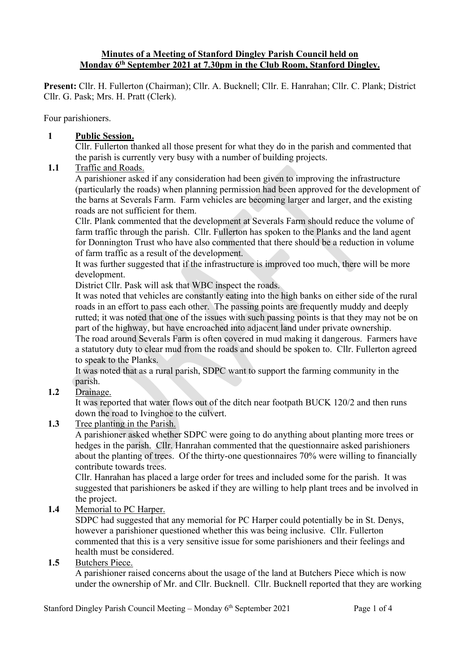### **Minutes of a Meeting of Stanford Dingley Parish Council held on Monday 6th September 2021 at 7.30pm in the Club Room, Stanford Dingley.**

**Present:** Cllr. H. Fullerton (Chairman); Cllr. A. Bucknell; Cllr. E. Hanrahan; Cllr. C. Plank; District Cllr. G. Pask; Mrs. H. Pratt (Clerk).

Four parishioners.

#### **1 Public Session.**

Cllr. Fullerton thanked all those present for what they do in the parish and commented that the parish is currently very busy with a number of building projects.

### **1.1** Traffic and Roads.

A parishioner asked if any consideration had been given to improving the infrastructure (particularly the roads) when planning permission had been approved for the development of the barns at Severals Farm. Farm vehicles are becoming larger and larger, and the existing roads are not sufficient for them.

Cllr. Plank commented that the development at Severals Farm should reduce the volume of farm traffic through the parish. Cllr. Fullerton has spoken to the Planks and the land agent for Donnington Trust who have also commented that there should be a reduction in volume of farm traffic as a result of the development.

It was further suggested that if the infrastructure is improved too much, there will be more development.

District Cllr. Pask will ask that WBC inspect the roads.

It was noted that vehicles are constantly eating into the high banks on either side of the rural roads in an effort to pass each other. The passing points are frequently muddy and deeply rutted; it was noted that one of the issues with such passing points is that they may not be on part of the highway, but have encroached into adjacent land under private ownership.

The road around Severals Farm is often covered in mud making it dangerous. Farmers have a statutory duty to clear mud from the roads and should be spoken to. Cllr. Fullerton agreed to speak to the Planks.

It was noted that as a rural parish, SDPC want to support the farming community in the parish.

## **1.2** Drainage.

It was reported that water flows out of the ditch near footpath BUCK 120/2 and then runs down the road to Ivinghoe to the culvert.

#### **1.3** Tree planting in the Parish.

A parishioner asked whether SDPC were going to do anything about planting more trees or hedges in the parish. Cllr. Hanrahan commented that the questionnaire asked parishioners about the planting of trees. Of the thirty-one questionnaires 70% were willing to financially contribute towards trees.

Cllr. Hanrahan has placed a large order for trees and included some for the parish. It was suggested that parishioners be asked if they are willing to help plant trees and be involved in the project.

## **1.4** Memorial to PC Harper.

SDPC had suggested that any memorial for PC Harper could potentially be in St. Denys, however a parishioner questioned whether this was being inclusive. Cllr. Fullerton commented that this is a very sensitive issue for some parishioners and their feelings and health must be considered.

#### **1.5** Butchers Piece.

A parishioner raised concerns about the usage of the land at Butchers Piece which is now under the ownership of Mr. and Cllr. Bucknell. Cllr. Bucknell reported that they are working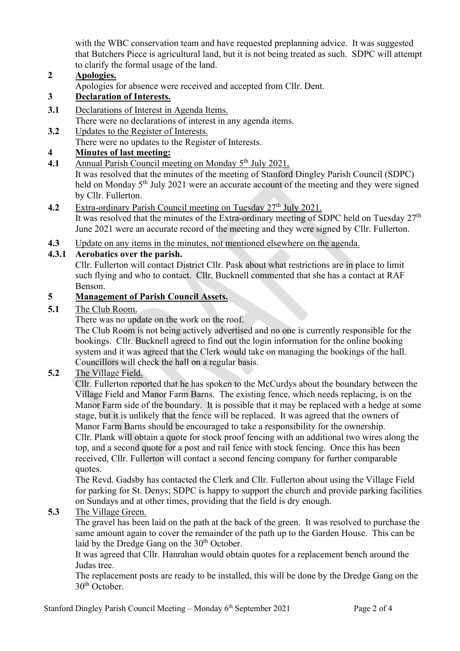with the WBC conservation team and have requested preplanning advice. It was suggested that Butchers Piece is agricultural land, but it is not being treated as such. SDPC will attempt to clarify the formal usage of the land.

## **2 Apologies.**

Apologies for absence were received and accepted from Cllr. Dent.

## **3 Declaration of Interests.**

- **3.1** Declarations of Interest in Agenda Items.
- There were no declarations of interest in any agenda items.
- **3.2** Updates to the Register of Interests.

There were no updates to the Register of Interests.

### **4 Minutes of last meeting:**

**4.1** Annual Parish Council meeting on Monday 5<sup>th</sup> July 2021.

It was resolved that the minutes of the meeting of Stanford Dingley Parish Council (SDPC) held on Monday 5<sup>th</sup> July 2021 were an accurate account of the meeting and they were signed by Cllr. Fullerton.

# **4.2** Extra-ordinary Parish Council meeting on Tuesday 27<sup>th</sup> July 2021.

It was resolved that the minutes of the Extra-ordinary meeting of SDPC held on Tuesday  $27<sup>th</sup>$ June 2021 were an accurate record of the meeting and they were signed by Cllr. Fullerton.

**4.3** Update on any items in the minutes, not mentioned elsewhere on the agenda.

### **4.3.1 Aerobatics over the parish.**

Cllr. Fullerton will contact District Cllr. Pask about what restrictions are in place to limit such flying and who to contact. Cllr. Bucknell commented that she has a contact at RAF Benson.

### **5 Management of Parish Council Assets.**

### **5.1** The Club Room.

There was no update on the work on the roof.

The Club Room is not being actively advertised and no one is currently responsible for the bookings. Cllr. Bucknell agreed to find out the login information for the online booking system and it was agreed that the Clerk would take on managing the bookings of the hall. Councillors will check the hall on a regular basis.

## **5.2** The Village Field.

Cllr. Fullerton reported that he has spoken to the McCurdys about the boundary between the Village Field and Manor Farm Barns. The existing fence, which needs replacing, is on the Manor Farm side of the boundary. It is possible that it may be replaced with a hedge at some stage, but it is unlikely that the fence will be replaced. It was agreed that the owners of Manor Farm Barns should be encouraged to take a responsibility for the ownership. Cllr. Plank will obtain a quote for stock proof fencing with an additional two wires along the top, and a second quote for a post and rail fence with stock fencing. Once this has been received, Cllr. Fullerton will contact a second fencing company for further comparable quotes.

The Revd. Gadsby has contacted the Clerk and Cllr. Fullerton about using the Village Field for parking for St. Denys; SDPC is happy to support the church and provide parking facilities on Sundays and at other times, providing that the field is dry enough.

## **5.3** The Village Green.

The gravel has been laid on the path at the back of the green. It was resolved to purchase the same amount again to cover the remainder of the path up to the Garden House. This can be laid by the Dredge Gang on the 30<sup>th</sup> October.

It was agreed that Cllr. Hanrahan would obtain quotes for a replacement bench around the Judas tree.

The replacement posts are ready to be installed, this will be done by the Dredge Gang on the  $30<sup>th</sup>$  October.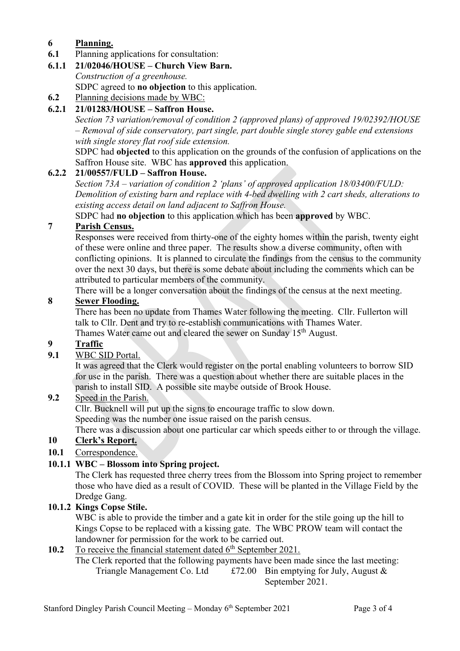# **6 Planning.**

- **6.1** Planning applications for consultation:
- **6.1.1 21/02046/HOUSE – Church View Barn.**

*Construction of a greenhouse.* SDPC agreed to **no objection** to this application.

**6.2** Planning decisions made by WBC:

# **6.2.1 21/01283/HOUSE – Saffron House.**

*Section 73 variation/removal of condition 2 (approved plans) of approved 19/02392/HOUSE – Removal of side conservatory, part single, part double single storey gable end extensions with single storey flat roof side extension.*

SDPC had **objected** to this application on the grounds of the confusion of applications on the Saffron House site. WBC has **approved** this application.

# **6.2.2 21/00557/FULD – Saffron House.**

*Section 73A – variation of condition 2 'plans' of approved application 18/03400/FULD: Demolition of existing barn and replace with 4-bed dwelling with 2 cart sheds, alterations to existing access detail on land adjacent to Saffron House.*

SDPC had **no objection** to this application which has been **approved** by WBC.

# **7 Parish Census.**

Responses were received from thirty-one of the eighty homes within the parish, twenty eight of these were online and three paper. The results show a diverse community, often with conflicting opinions. It is planned to circulate the findings from the census to the community over the next 30 days, but there is some debate about including the comments which can be attributed to particular members of the community.

There will be a longer conversation about the findings of the census at the next meeting.

# **8 Sewer Flooding.**

There has been no update from Thames Water following the meeting. Cllr. Fullerton will talk to Cllr. Dent and try to re-establish communications with Thames Water. Thames Water came out and cleared the sewer on Sunday 15<sup>th</sup> August.

# **9 Traffic**

## **9.1** WBC SID Portal.

It was agreed that the Clerk would register on the portal enabling volunteers to borrow SID for use in the parish. There was a question about whether there are suitable places in the parish to install SID. A possible site maybe outside of Brook House.

## **9.2** Speed in the Parish.

Cllr. Bucknell will put up the signs to encourage traffic to slow down.

Speeding was the number one issue raised on the parish census.

There was a discussion about one particular car which speeds either to or through the village.

# **10 Clerk's Report.**

**10.1** Correspondence.

# **10.1.1 WBC – Blossom into Spring project.**

The Clerk has requested three cherry trees from the Blossom into Spring project to remember those who have died as a result of COVID. These will be planted in the Village Field by the Dredge Gang.

## **10.1.2 Kings Copse Stile.**

WBC is able to provide the timber and a gate kit in order for the stile going up the hill to Kings Copse to be replaced with a kissing gate. The WBC PROW team will contact the landowner for permission for the work to be carried out.

# **10.2** To receive the financial statement dated 6<sup>th</sup> September 2021.

The Clerk reported that the following payments have been made since the last meeting: Triangle Management Co. Ltd  $\pounds 72.00$  Bin emptying for July, August & September 2021.